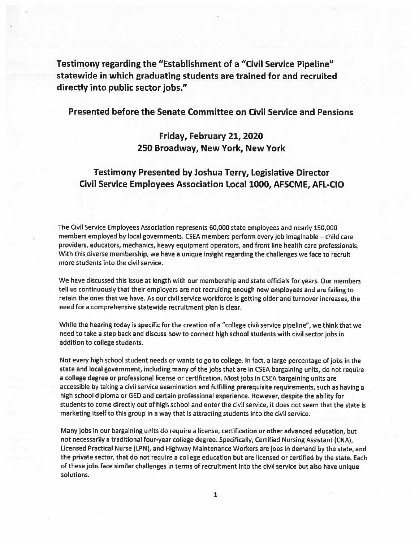Testimony regarding the "Establishment of <sup>a</sup> "Civil Service Pipeline" statewide in which graduating students are trained for and recruited directly into public sector jobs."

## Presented before the Senate Committee on Civil Service and Pensions

# Friday, February 21, 2020 250 Broadway, New York, New York

## Testimony Presented by Joshua Terry, Legislative Director Civil Service Employees Association Local 1000, AFSCME, AFL-CIO

The Civil Service Employees Association represents 60,000 state employees and nearly 150,000 members employed by local governments. CSEA members perform every job imaginable — child care providers, educators, mechanics, heavy equipment operators, and front line health care professionals. With this diverse membership, we have <sup>a</sup> unique insight regarding the challenges we face to recruit more students into the civil service.

We have discussed this issue at length with our membership and state officials for years. Our members tell us continuously that their employers are not recruiting enoug<sup>h</sup> new employees and are failing to retain the ones that we have. As our civil service workforce is getting older and turnover increases, the need for <sup>a</sup> comprehensive statewide recruitment plan is clear.

While the hearing today is specific for the creation of <sup>a</sup> "college civil service pipeline", we think that we need to take <sup>a</sup> step back and discuss how to connect high school students with civil sector jobs in addition to college students.

Not every high school student needs or wants to go to college. In fact, <sup>a</sup> large percentage of jobs in the state and local government, including many of the jobs that are in CSEA bargaining units, do not require <sup>a</sup> college degree or professional license or certification. Most jobs in CSEA bargaining units are accessible by taking <sup>a</sup> civil service examination and fulfilling prerequisite requirements, such as having <sup>a</sup> high school diploma or GED and certain professional experience. However, despite the ability for students to come directly out of high school and enter the civil service, it does not seem that the state is marketing itself to this group in <sup>a</sup> way that is attracting students into the civil service.

Many jobs in our bargaining units do require <sup>a</sup> license, certification or other advanced education, but not necessarily <sup>a</sup> traditional four-year college degree. Specifically, Certified Nursing Assistant (CNA), Licensed Practical Nurse (LPN), and Highway Maintenance Workers are jobs in demand by the state, and the private sector, that do not require <sup>a</sup> college education but are licensed or certified by the state. Each of these jobs face similar challenges in terms of recruitment into the civil service but also have unique solutions.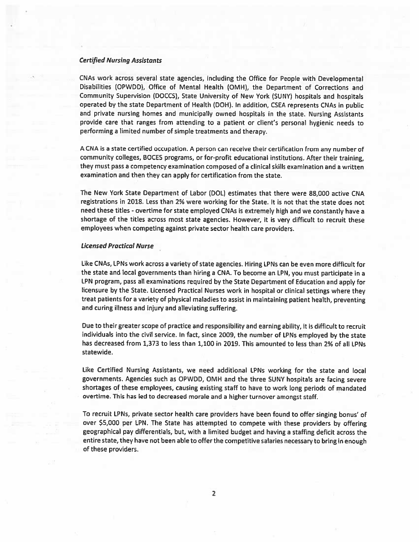### Certified Nursing Assistants

CNAs work across several state agencies, including the Office for People with Developmental Disabilities (OPWDD), Office of Mental Health (OMH), the Department of Corrections and Community Supervision (DOCCS), State University of New York (SUN'?) hospitals and hospitals operated by the state Department of Health (DON). In addition, CSEA represents CNAs in public and private nursing homes and municipally owned hospitals in the state. Nursing Assistants provide care that ranges from attending to <sup>a</sup> patient or client's persona<sup>l</sup> hygienic needs to performing <sup>a</sup> limited number of simple treatments and therapy.

<sup>A</sup> CNA is <sup>a</sup> state certified occupation. <sup>A</sup> person can receive their certification from any number of community colleges, BOCES programs, or for-profit educational institutions. After their training, they must pass <sup>a</sup> competency examination composed of <sup>a</sup> clinical skills examination and <sup>a</sup> written examination and then they can apply for certification from the state.

The New York State Department of Labor (DOL) estimates that there were 88,000 active CNA registrations in 2018. Less than 2% were working for the State. It is not that the state does not need these titles - overtime for state employed CNAs is extremely high and we constantly have a shortage of the tites across most state agencies. However, it is very difficult to recruit these employees when competing against private sector health care providers.

#### Licensed Practical Nurse

like CNAs, LPNs work across <sup>a</sup> variety of state agencies. Hiring LPNs can be even more difficult for the state and local governments than hiring <sup>a</sup> CNA. To become an LPN, you must participate in <sup>a</sup> LPN program, pass all examinations required by the State Department of Education and apply for licensure by the State. Licensed Practical Nurses work in hospital or clinical settings where they treat patients for <sup>a</sup> variety of <sup>p</sup>hysical maladies to assist in maintaining patient health, preventing and curing illness and injury and alleviating suffering.

Due to their greater scope of practice and responsibility and earning ability, it is difficult to recruit individuals into the civil service. In fact, since 2009, the number of LPNs employed by the state has decreased from 1,373 to less than 1,100 in 2019. This amounted to less than 2% of all LPNs statewide.

Like Certified Nursing Assistants, we need additional LPNs working for the state and local governments. Agencies such as OPWDD, OMH and the three SUNY hospitals are facing severe shortages of these employees, causing existing staff to have to work long periods of mandated overtime. This has led to decreased morale and <sup>a</sup> higher turnover amongs<sup>t</sup> staff.

To recruit LPNs, private sector health care providers have been found to offer singing bonus' of over \$5,000 per IPN. The State has attempted to compete with these providers by offering geographical pay differentials, but, with <sup>a</sup> limited budget and having <sup>a</sup> staffing deficit across the entire state, they have not been able to offerthe competitive salaries necessary to bring in enoug<sup>h</sup> of these providers.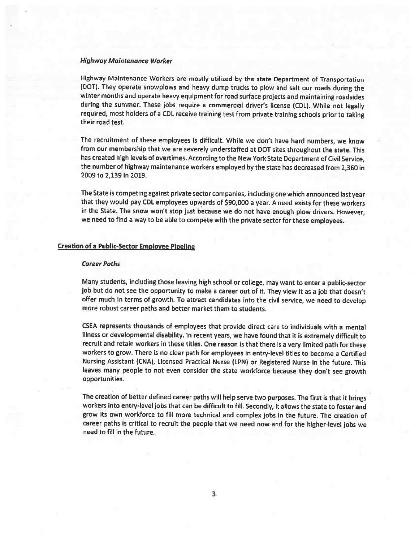### High way Maintenance Worker

Highway Maintenance Workers are mostly utilized by the state Department of Transportation (DOT). They operate snowplows and heavy dump trucks to <sup>p</sup>low and salt our roads during the winter months and operate heavy equipment for road surface projects and maintaining roadsides during the summer. These jobs require a commercial driver's license (CDL). While not legally required, most holders of <sup>a</sup> CDL receive training test from private training schools prior to taking their road test.

The recruitment of these employees is difficult. While we don't have hard numbers, we know from our membership that we are severely understaffed at DOT sites throughout the state. This has created high levels of overtimes. According to the New York State Department of Civil Service, the number of highway maintenance workers employed by the state has decreased from 2,360 in 2009 to 2,139 in 2019.

The State is competing against private sector companies, including one which announced last year that they would pay CDL employees upwards of \$90,000 <sup>a</sup> year. <sup>A</sup> need exists for these workers in the State. The snow won't stop just because we do not have enoug<sup>h</sup> <sup>p</sup>low drivers. However, we need to find <sup>a</sup> way to be able to compete with the private sector for these employees.

## **Creation of a Public-Sector Employee Pipeline**

#### Career Paths

Many students, including those leaving high school or college, may want to enter <sup>a</sup> public-sector job but do not see the opportunity to make <sup>a</sup> career out of it. They view it as <sup>a</sup> job that doesn't offer much in terms of growth. To attract candidates into the civil service, we need to develop more robust career paths and better market them to students.

CSEA represents thousands of employees that provide direct care to individuals with <sup>a</sup> mental illness or developmental disability. In recent years, we have found that it is extremely difficult to recruit and retain workers in these titles. One reason is that there is <sup>a</sup> very limited path for these workers to grow. There is no clear path for employees in entry-level titles to become <sup>a</sup> Certified Nursing Assistant (CNA), Licensed Practical Nurse (LPN) or Registered Nurse in the future. This leaves many people to not even consider the state workforce because they don't see growth opportunities.

The creation of better defined career paths will help serve two purposes. The first is that it brings workers into entry-level jobs that can be difficult to fill. Secondly, it allows the state to foster and grow its own workforce to fill more technical and complex jobs in the future. The creation of career paths is critical to recruit the people that we need now and for the higher-level jobs we need to fill in the future.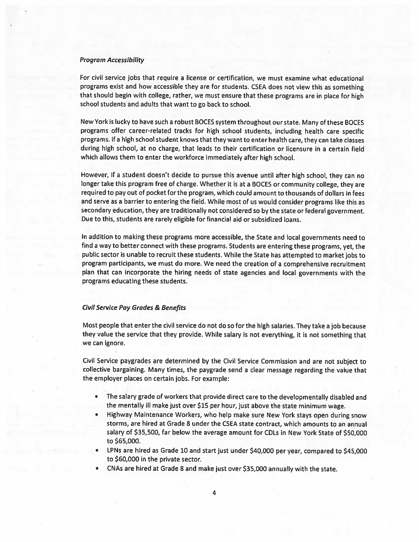### Program Accessibility

For civil service jobs that require <sup>a</sup> license or certification, we must examine what educational programs exist and how accessible they are for students. CSEA does not view this as something that should begin with college, rather, we must ensure that these programs are in <sup>p</sup>lace for high school students and adults that want to go back to school.

New York is lucky to have such <sup>a</sup> robust BOCES system throughout our state. Many of these BOCES programs offer career-related tracks for high school students, including health care specific programs. If <sup>a</sup> high school student knows that they want to enter health care, they can take classes during high school, at no charge, that leads to their certification or licensure in <sup>a</sup> certain field which allows them to enter the workforce immediately after high school.

However, if <sup>a</sup> student doesn't decide to pursue this avenue until after high school, they can no longer take this program free of charge. Whether it is at <sup>a</sup> BOCES or community college, they are required to pay out of pocket for the program, which could amount to thousands of dollars in fees and serve as <sup>a</sup> barrier to entering the field. While most of us would consider programs like this as secondary education, they are traditionally not considered so by the state or federal government. Due to this, students are rarely eligible for financial aid or subsidized loans.

In addition to making these programs more accessible, the State and local governments need to find <sup>a</sup> way to better connect with these programs. Students are entering these programs, yet, the public sector is unable to recruit these students. While the State has attempted to market jobs to program participants, we must do more. We need the creation of <sup>a</sup> comprehensive recruitment <sup>p</sup>lan that can incorporate the hiring needs of state agencies and local governments with the programs educating these students.

#### Civil Service Pay Grodes & Benefits

Most people that enter the civil service do not do so for the high salaries. They take <sup>a</sup> job because they value the service that they provide. While salary is not everything, it is not something that we can ignore.

Civil Service paygrades are determined by the Civil Service Commission and are not subject to collective bargaining. Many times, the paygrade send <sup>a</sup> clear message regarding the value that the employer <sup>p</sup>laces on certain jobs. For example:

- • The salary grade of workers that provide direct care to the developmentally disabled and the mentally ill make just over \$15 per hour, just above the state minimum wage.
- • Highway Maintenance Workers, who help make sure New York stays open during snow storms, are hired at Grade B under the CSEA state contract, which amounts to an annual salary of \$35,500, far below the average amount for CDLS in New York State of \$50,000 to \$65,000.
- • LPNs are hired as Grade <sup>10</sup> and start just under \$40,000 per year, compare<sup>d</sup> to \$45,000 to \$60,000 in the private sector.
- •CNAs are hired at Grade 8 and make just over \$35,000 annually with the state.